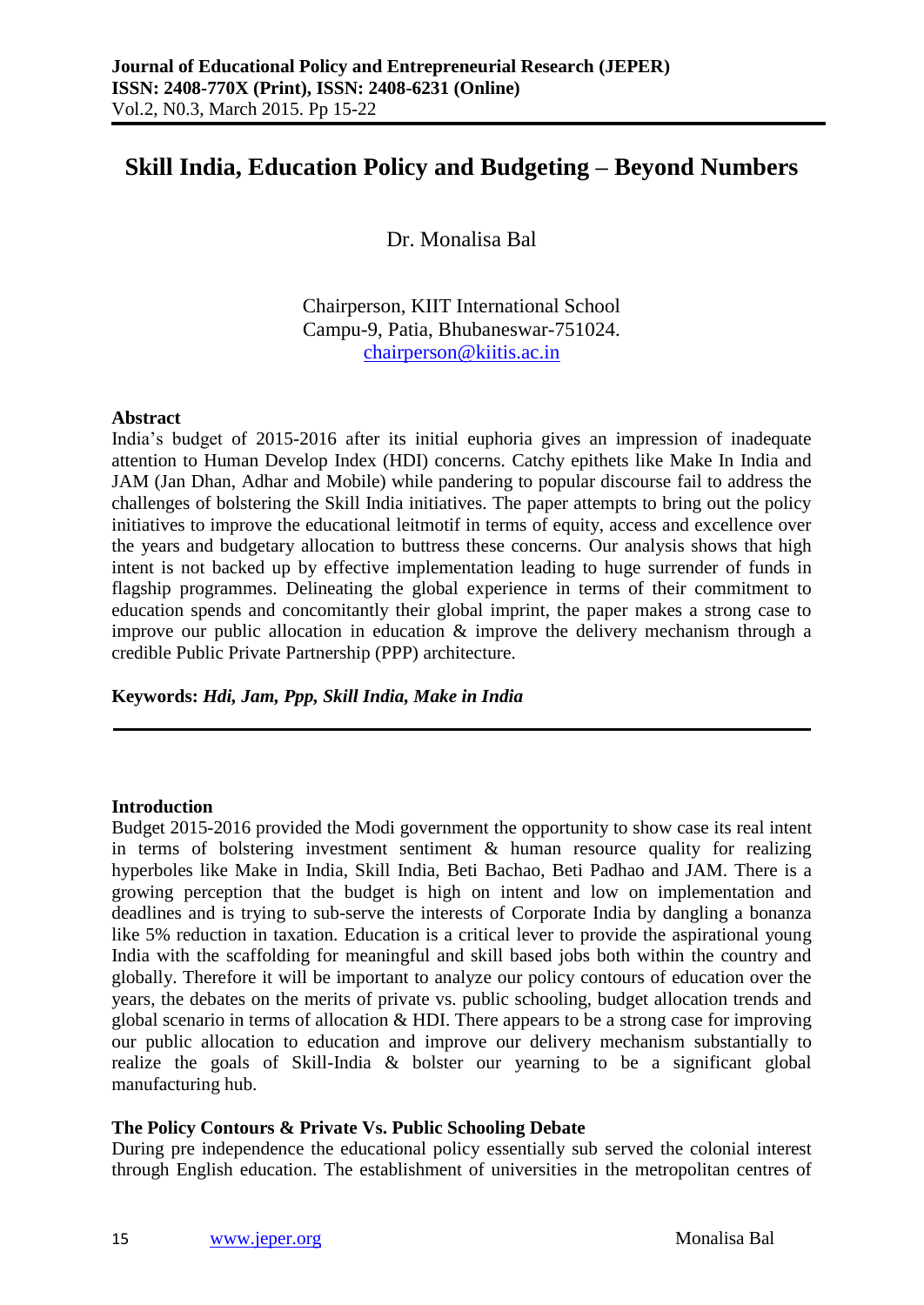# **Skill India, Education Policy and Budgeting – Beyond Numbers**

Dr. Monalisa Bal

Chairperson, KIIT International School Campu-9, Patia, Bhubaneswar-751024. [chairperson@kiitis.ac.in](mailto:chairperson@kiitis.ac.in)

#### **Abstract**

India's budget of 2015-2016 after its initial euphoria gives an impression of inadequate attention to Human Develop Index (HDI) concerns. Catchy epithets like Make In India and JAM (Jan Dhan, Adhar and Mobile) while pandering to popular discourse fail to address the challenges of bolstering the Skill India initiatives. The paper attempts to bring out the policy initiatives to improve the educational leitmotif in terms of equity, access and excellence over the years and budgetary allocation to buttress these concerns. Our analysis shows that high intent is not backed up by effective implementation leading to huge surrender of funds in flagship programmes. Delineating the global experience in terms of their commitment to education spends and concomitantly their global imprint, the paper makes a strong case to improve our public allocation in education & improve the delivery mechanism through a credible Public Private Partnership (PPP) architecture.

**Keywords:** *Hdi, Jam, Ppp, Skill India, Make in India*

#### **Introduction**

Budget 2015-2016 provided the Modi government the opportunity to show case its real intent in terms of bolstering investment sentiment  $\&$  human resource quality for realizing hyperboles like Make in India, Skill India, Beti Bachao, Beti Padhao and JAM. There is a growing perception that the budget is high on intent and low on implementation and deadlines and is trying to sub-serve the interests of Corporate India by dangling a bonanza like 5% reduction in taxation. Education is a critical lever to provide the aspirational young India with the scaffolding for meaningful and skill based jobs both within the country and globally. Therefore it will be important to analyze our policy contours of education over the years, the debates on the merits of private vs. public schooling, budget allocation trends and global scenario in terms of allocation & HDI. There appears to be a strong case for improving our public allocation to education and improve our delivery mechanism substantially to realize the goals of Skill-India & bolster our yearning to be a significant global manufacturing hub.

### **The Policy Contours & Private Vs. Public Schooling Debate**

During pre independence the educational policy essentially sub served the colonial interest through English education. The establishment of universities in the metropolitan centres of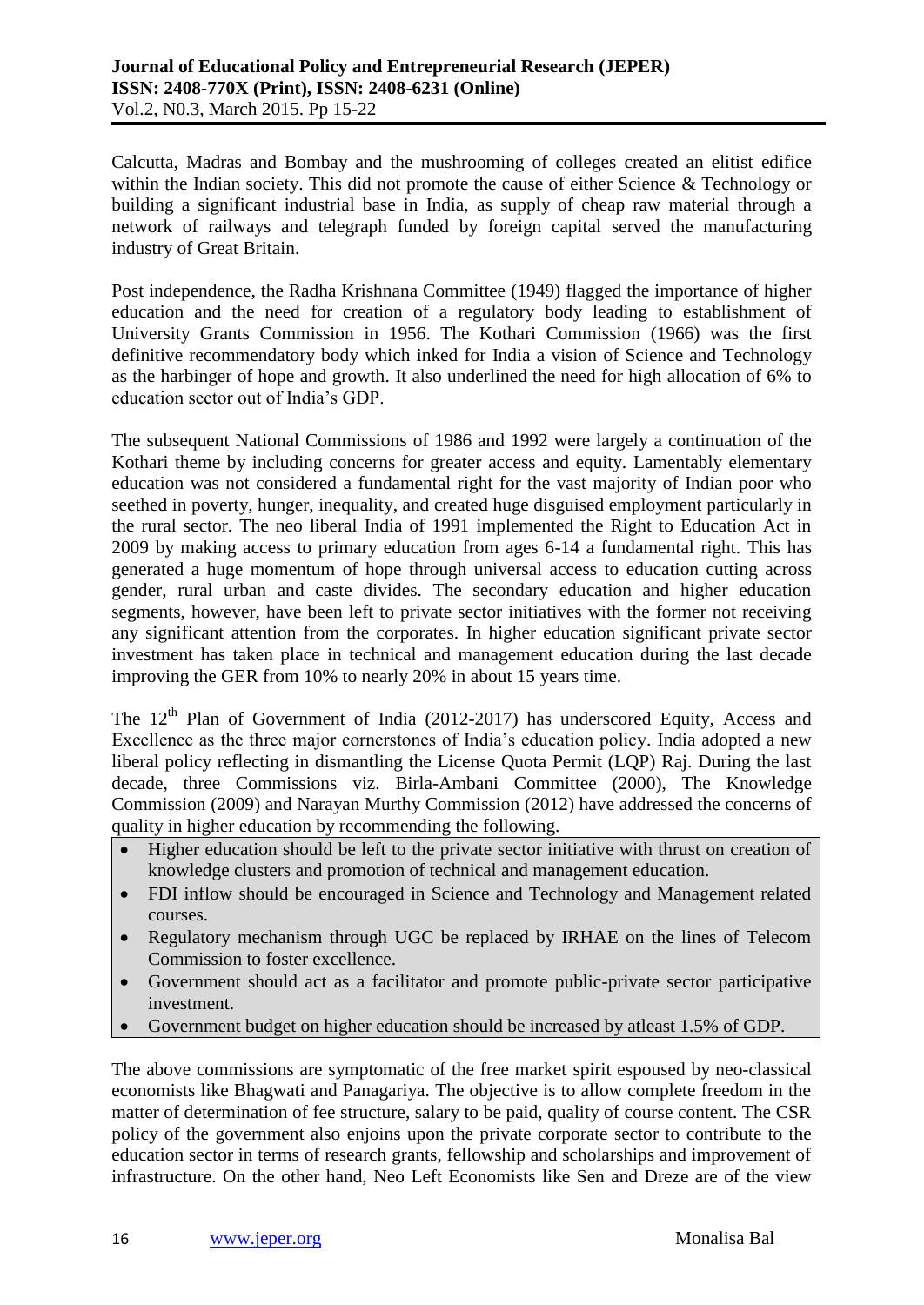Calcutta, Madras and Bombay and the mushrooming of colleges created an elitist edifice within the Indian society. This did not promote the cause of either Science & Technology or building a significant industrial base in India, as supply of cheap raw material through a network of railways and telegraph funded by foreign capital served the manufacturing industry of Great Britain.

Post independence, the Radha Krishnana Committee (1949) flagged the importance of higher education and the need for creation of a regulatory body leading to establishment of University Grants Commission in 1956. The Kothari Commission (1966) was the first definitive recommendatory body which inked for India a vision of Science and Technology as the harbinger of hope and growth. It also underlined the need for high allocation of 6% to education sector out of India's GDP.

The subsequent National Commissions of 1986 and 1992 were largely a continuation of the Kothari theme by including concerns for greater access and equity. Lamentably elementary education was not considered a fundamental right for the vast majority of Indian poor who seethed in poverty, hunger, inequality, and created huge disguised employment particularly in the rural sector. The neo liberal India of 1991 implemented the Right to Education Act in 2009 by making access to primary education from ages 6-14 a fundamental right. This has generated a huge momentum of hope through universal access to education cutting across gender, rural urban and caste divides. The secondary education and higher education segments, however, have been left to private sector initiatives with the former not receiving any significant attention from the corporates. In higher education significant private sector investment has taken place in technical and management education during the last decade improving the GER from 10% to nearly 20% in about 15 years time.

The  $12<sup>th</sup>$  Plan of Government of India (2012-2017) has underscored Equity, Access and Excellence as the three major cornerstones of India's education policy. India adopted a new liberal policy reflecting in dismantling the License Quota Permit (LQP) Raj. During the last decade, three Commissions viz. Birla-Ambani Committee (2000), The Knowledge Commission (2009) and Narayan Murthy Commission (2012) have addressed the concerns of quality in higher education by recommending the following.

- Higher education should be left to the private sector initiative with thrust on creation of knowledge clusters and promotion of technical and management education.
- FDI inflow should be encouraged in Science and Technology and Management related courses.
- Regulatory mechanism through UGC be replaced by IRHAE on the lines of Telecom Commission to foster excellence.
- Government should act as a facilitator and promote public-private sector participative investment.
- Government budget on higher education should be increased by atleast 1.5% of GDP.

The above commissions are symptomatic of the free market spirit espoused by neo-classical economists like Bhagwati and Panagariya. The objective is to allow complete freedom in the matter of determination of fee structure, salary to be paid, quality of course content. The CSR policy of the government also enjoins upon the private corporate sector to contribute to the education sector in terms of research grants, fellowship and scholarships and improvement of infrastructure. On the other hand, Neo Left Economists like Sen and Dreze are of the view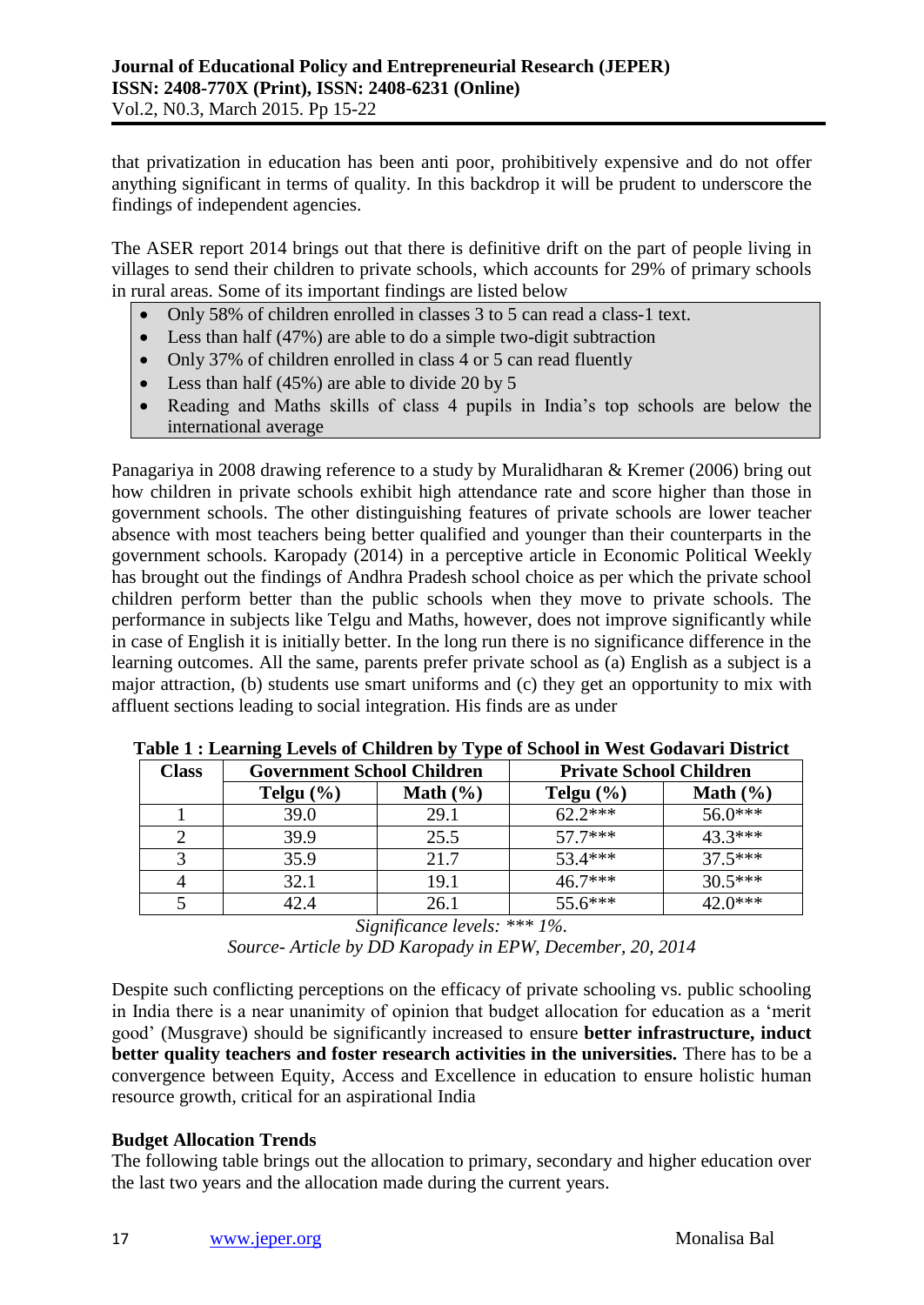that privatization in education has been anti poor, prohibitively expensive and do not offer anything significant in terms of quality. In this backdrop it will be prudent to underscore the findings of independent agencies.

The ASER report 2014 brings out that there is definitive drift on the part of people living in villages to send their children to private schools, which accounts for 29% of primary schools in rural areas. Some of its important findings are listed below

- Only 58% of children enrolled in classes 3 to 5 can read a class-1 text.
- Less than half (47%) are able to do a simple two-digit subtraction
- Only 37% of children enrolled in class 4 or 5 can read fluently
- Less than half  $(45%)$  are able to divide 20 by 5
- Reading and Maths skills of class 4 pupils in India's top schools are below the international average

Panagariya in 2008 drawing reference to a study by Muralidharan & Kremer (2006) bring out how children in private schools exhibit high attendance rate and score higher than those in government schools. The other distinguishing features of private schools are lower teacher absence with most teachers being better qualified and younger than their counterparts in the government schools. Karopady (2014) in a perceptive article in Economic Political Weekly has brought out the findings of Andhra Pradesh school choice as per which the private school children perform better than the public schools when they move to private schools. The performance in subjects like Telgu and Maths, however, does not improve significantly while in case of English it is initially better. In the long run there is no significance difference in the learning outcomes. All the same, parents prefer private school as (a) English as a subject is a major attraction, (b) students use smart uniforms and (c) they get an opportunity to mix with affluent sections leading to social integration. His finds are as under

| <b>Class</b> | <b>Government School Children</b> |              | <b>Private School Children</b> |              |  |
|--------------|-----------------------------------|--------------|--------------------------------|--------------|--|
|              | Telgu $(\% )$                     | Math $(\% )$ | Telgu $(\% )$                  | Math $(\% )$ |  |
|              | 39.0                              | 29.1         | $62.2***$                      | $56.0***$    |  |
|              | 39.9                              | 25.5         | $57.7***$                      | $43.3***$    |  |
|              | 35.9                              | 21.7         | $53.4***$                      | $37.5***$    |  |
| 4            | 32.1                              | 19.1         | $46.7***$                      | $30.5***$    |  |
|              | 42.4                              | 26.1         | $55.6***$                      | 42.0***      |  |

**Table 1 : Learning Levels of Children by Type of School in West Godavari District**

*Significance levels: \*\*\* 1%. Source- Article by DD Karopady in EPW, December, 20, 2014*

Despite such conflicting perceptions on the efficacy of private schooling vs. public schooling in India there is a near unanimity of opinion that budget allocation for education as a 'merit good' (Musgrave) should be significantly increased to ensure **better infrastructure, induct better quality teachers and foster research activities in the universities.** There has to be a convergence between Equity, Access and Excellence in education to ensure holistic human resource growth, critical for an aspirational India

# **Budget Allocation Trends**

The following table brings out the allocation to primary, secondary and higher education over the last two years and the allocation made during the current years.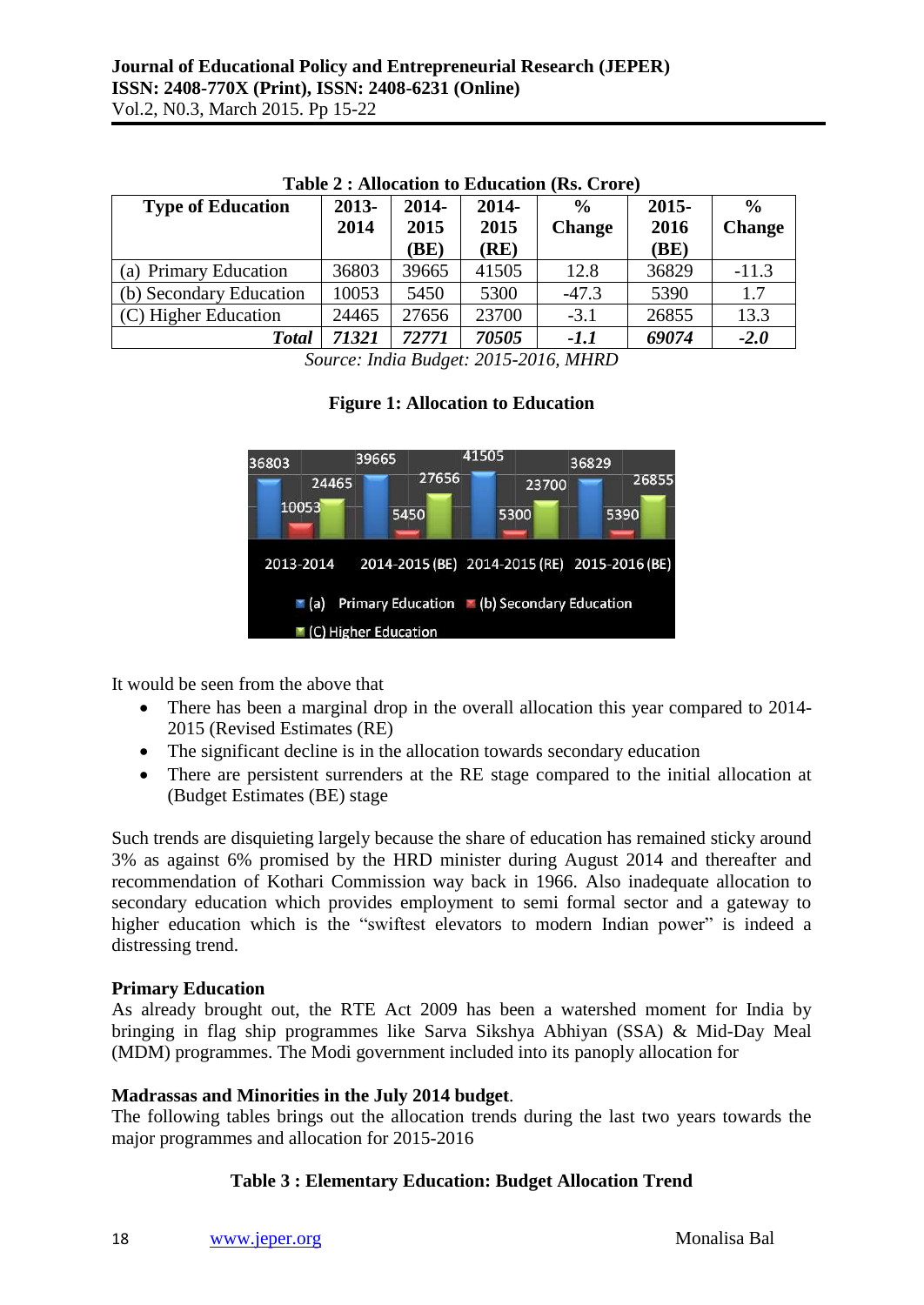| <b>Type of Education</b> | 2013- | 2014- | 2014- | $\frac{0}{0}$ | $2015 -$ | $\frac{6}{9}$ |
|--------------------------|-------|-------|-------|---------------|----------|---------------|
|                          | 2014  | 2015  | 2015  | <b>Change</b> | 2016     | <b>Change</b> |
|                          |       | BE)   | (RE)  |               | (BE)     |               |
| (a) Primary Education    | 36803 | 39665 | 41505 | 12.8          | 36829    | $-11.3$       |
| (b) Secondary Education  | 10053 | 5450  | 5300  | $-47.3$       | 5390     | 1.7           |
| (C) Higher Education     | 24465 | 27656 | 23700 | $-3.1$        | 26855    | 13.3          |
| <b>Total</b>             | 71321 | 72771 | 70505 | $-1.1$        | 69074    | $-2.0$        |

#### **Table 2 : Allocation to Education (Rs. Crore)**

*Source: India Budget: 2015-2016, MHRD*

# **Figure 1: Allocation to Education**



It would be seen from the above that

- There has been a marginal drop in the overall allocation this year compared to 2014-2015 (Revised Estimates (RE)
- The significant decline is in the allocation towards secondary education
- There are persistent surrenders at the RE stage compared to the initial allocation at (Budget Estimates (BE) stage

Such trends are disquieting largely because the share of education has remained sticky around 3% as against 6% promised by the HRD minister during August 2014 and thereafter and recommendation of Kothari Commission way back in 1966. Also inadequate allocation to secondary education which provides employment to semi formal sector and a gateway to higher education which is the "swiftest elevators to modern Indian power" is indeed a distressing trend.

### **Primary Education**

As already brought out, the RTE Act 2009 has been a watershed moment for India by bringing in flag ship programmes like Sarva Sikshya Abhiyan (SSA) & Mid-Day Meal (MDM) programmes. The Modi government included into its panoply allocation for

# **Madrassas and Minorities in the July 2014 budget**.

The following tables brings out the allocation trends during the last two years towards the major programmes and allocation for 2015-2016

# **Table 3 : Elementary Education: Budget Allocation Trend**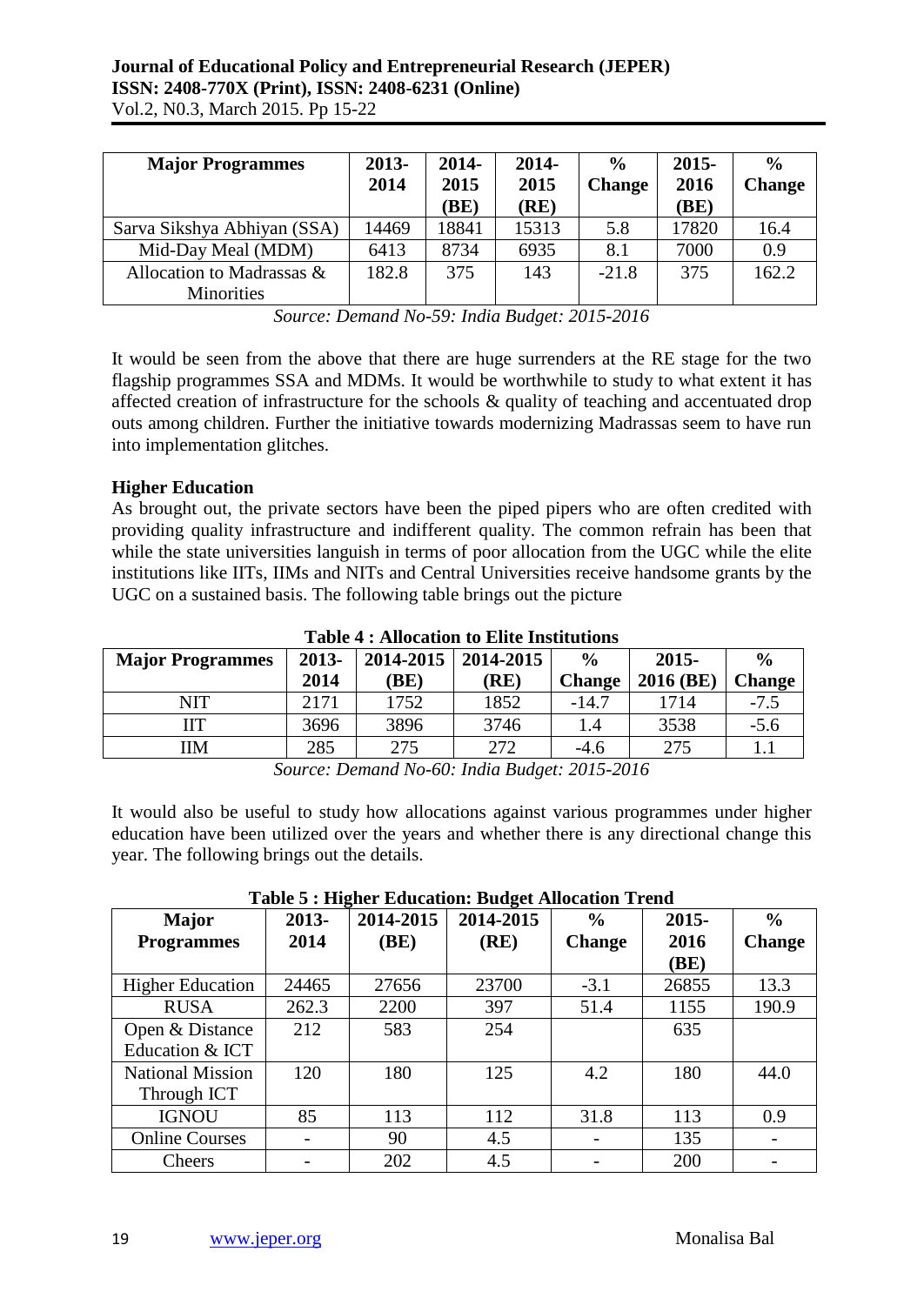| <b>Major Programmes</b>                        | 2013-<br>2014 | 2014-<br>2015<br>(BE) | 2014-<br>2015<br>(RE) | $\frac{0}{0}$<br><b>Change</b> | $2015 -$<br>2016<br>(BE) | $\frac{6}{9}$<br><b>Change</b> |
|------------------------------------------------|---------------|-----------------------|-----------------------|--------------------------------|--------------------------|--------------------------------|
| Sarva Sikshya Abhiyan (SSA)                    | 14469         | 18841                 | 15313                 | 5.8                            | 17820                    | 16.4                           |
| Mid-Day Meal (MDM)                             | 6413          | 8734                  | 6935                  | 8.1                            | 7000                     | 0.9                            |
| Allocation to Madrassas &<br><b>Minorities</b> | 182.8         | 375                   | 143                   | $-21.8$                        | 375                      | 162.2                          |

*Source: Demand No-59: India Budget: 2015-2016*

It would be seen from the above that there are huge surrenders at the RE stage for the two flagship programmes SSA and MDMs. It would be worthwhile to study to what extent it has affected creation of infrastructure for the schools & quality of teaching and accentuated drop outs among children. Further the initiative towards modernizing Madrassas seem to have run into implementation glitches.

# **Higher Education**

As brought out, the private sectors have been the piped pipers who are often credited with providing quality infrastructure and indifferent quality. The common refrain has been that while the state universities languish in terms of poor allocation from the UGC while the elite institutions like IITs, IIMs and NITs and Central Universities receive handsome grants by the UGC on a sustained basis. The following table brings out the picture

| Table <del>1</del> . Anocauon to Ente msututions |       |           |           |               |           |               |  |  |
|--------------------------------------------------|-------|-----------|-----------|---------------|-----------|---------------|--|--|
| <b>Major Programmes</b>                          | 2013- | 2014-2015 | 2014-2015 | $\frac{0}{0}$ | $2015 -$  | $\frac{6}{9}$ |  |  |
|                                                  | 2014  | BE)       | (RE)      | <b>Change</b> | 2016 (BE) | <b>Change</b> |  |  |
| NIT                                              | 2171  | 1752      | 1852      | $-14.7$       | 1714      | $-7.5$        |  |  |
| ĦТ                                               | 3696  | 3896      | 3746      | l.4           | 3538      | $-5.6$        |  |  |
| IМ                                               | 285   | 275       | 272       | $-4.6$        | 275       |               |  |  |
|                                                  |       |           |           |               |           |               |  |  |

**Table 4 : Allocation to Elite Institutions**

*Source: Demand No-60: India Budget: 2015-2016*

It would also be useful to study how allocations against various programmes under higher education have been utilized over the years and whether there is any directional change this year. The following brings out the details.

| <b>Major</b>            | 2013- | 2014-2015 | 2014-2015 | $\frac{6}{6}$ | $2015 -$ | $\frac{0}{0}$ |
|-------------------------|-------|-----------|-----------|---------------|----------|---------------|
| <b>Programmes</b>       | 2014  | (BE)      | (RE)      | <b>Change</b> | 2016     | <b>Change</b> |
|                         |       |           |           |               | (BE)     |               |
| <b>Higher Education</b> | 24465 | 27656     | 23700     | $-3.1$        | 26855    | 13.3          |
| <b>RUSA</b>             | 262.3 | 2200      | 397       | 51.4          | 1155     | 190.9         |
| Open & Distance         | 212   | 583       | 254       |               | 635      |               |
| Education & ICT         |       |           |           |               |          |               |
| <b>National Mission</b> | 120   | 180       | 125       | 4.2           | 180      | 44.0          |
| Through ICT             |       |           |           |               |          |               |
| <b>IGNOU</b>            | 85    | 113       | 112       | 31.8          | 113      | 0.9           |
| <b>Online Courses</b>   |       | 90        | 4.5       |               | 135      |               |
| Cheers                  |       | 202       | 4.5       |               | 200      |               |

**Table 5 : Higher Education: Budget Allocation Trend**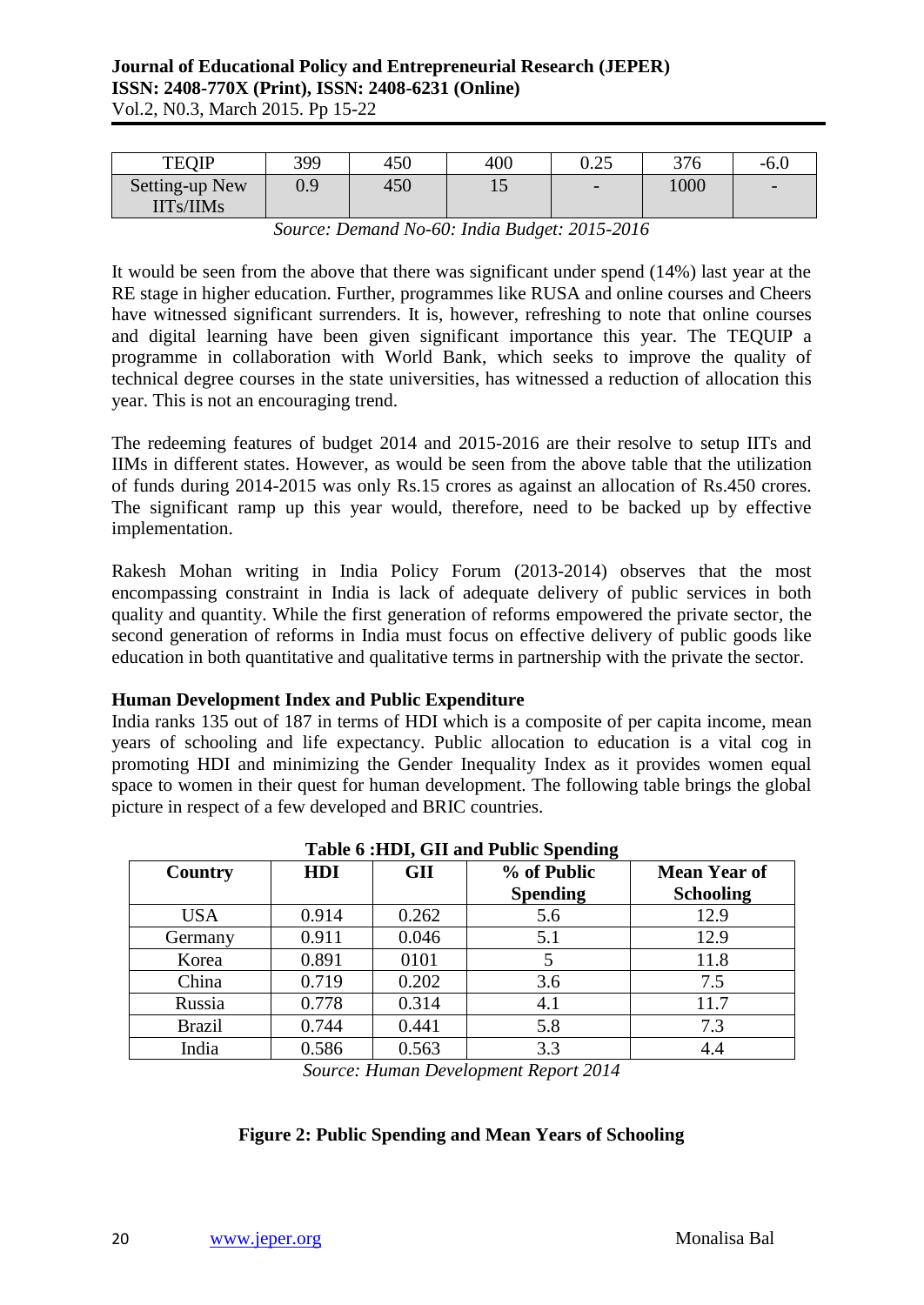| <b>TEOIP</b>                | 399     | 450 | 400 | ∩ ኅ⊄<br>ل ∠.∪            | 376  | $-6.0$                   |
|-----------------------------|---------|-----|-----|--------------------------|------|--------------------------|
| Setting-up New<br>IITs/IIMs | $0.9\,$ | 450 | ⊥ັ  | $\overline{\phantom{0}}$ | 1000 | $\overline{\phantom{0}}$ |

*Source: Demand No-60: India Budget: 2015-2016*

It would be seen from the above that there was significant under spend (14%) last year at the RE stage in higher education. Further, programmes like RUSA and online courses and Cheers have witnessed significant surrenders. It is, however, refreshing to note that online courses and digital learning have been given significant importance this year. The TEQUIP a programme in collaboration with World Bank, which seeks to improve the quality of technical degree courses in the state universities, has witnessed a reduction of allocation this year. This is not an encouraging trend.

The redeeming features of budget 2014 and 2015-2016 are their resolve to setup IITs and IIMs in different states. However, as would be seen from the above table that the utilization of funds during 2014-2015 was only Rs.15 crores as against an allocation of Rs.450 crores. The significant ramp up this year would, therefore, need to be backed up by effective implementation.

Rakesh Mohan writing in India Policy Forum (2013-2014) observes that the most encompassing constraint in India is lack of adequate delivery of public services in both quality and quantity. While the first generation of reforms empowered the private sector, the second generation of reforms in India must focus on effective delivery of public goods like education in both quantitative and qualitative terms in partnership with the private the sector.

### **Human Development Index and Public Expenditure**

India ranks 135 out of 187 in terms of HDI which is a composite of per capita income, mean years of schooling and life expectancy. Public allocation to education is a vital cog in promoting HDI and minimizing the Gender Inequality Index as it provides women equal space to women in their quest for human development. The following table brings the global picture in respect of a few developed and BRIC countries.

|               |       | $         -$ |                 |                     |  |  |  |  |  |  |
|---------------|-------|--------------|-----------------|---------------------|--|--|--|--|--|--|
| Country       | HDI   | <b>GII</b>   | % of Public     | <b>Mean Year of</b> |  |  |  |  |  |  |
|               |       |              | <b>Spending</b> | <b>Schooling</b>    |  |  |  |  |  |  |
| <b>USA</b>    | 0.914 | 0.262        | 5.6             | 12.9                |  |  |  |  |  |  |
| Germany       | 0.911 | 0.046        | 5.1             | 12.9                |  |  |  |  |  |  |
| Korea         | 0.891 | 0101         |                 | 11.8                |  |  |  |  |  |  |
| China         | 0.719 | 0.202        | 3.6             | 7.5                 |  |  |  |  |  |  |
| Russia        | 0.778 | 0.314        | 4.1             | 11.7                |  |  |  |  |  |  |
| <b>Brazil</b> | 0.744 | 0.441        | 5.8             | 7.3                 |  |  |  |  |  |  |
| India         | 0.586 | 0.563        | 3.3             | 4.4                 |  |  |  |  |  |  |

### **Table 6 :HDI, GII and Public Spending**

*Source: Human Development Report 2014*

# **Figure 2: Public Spending and Mean Years of Schooling**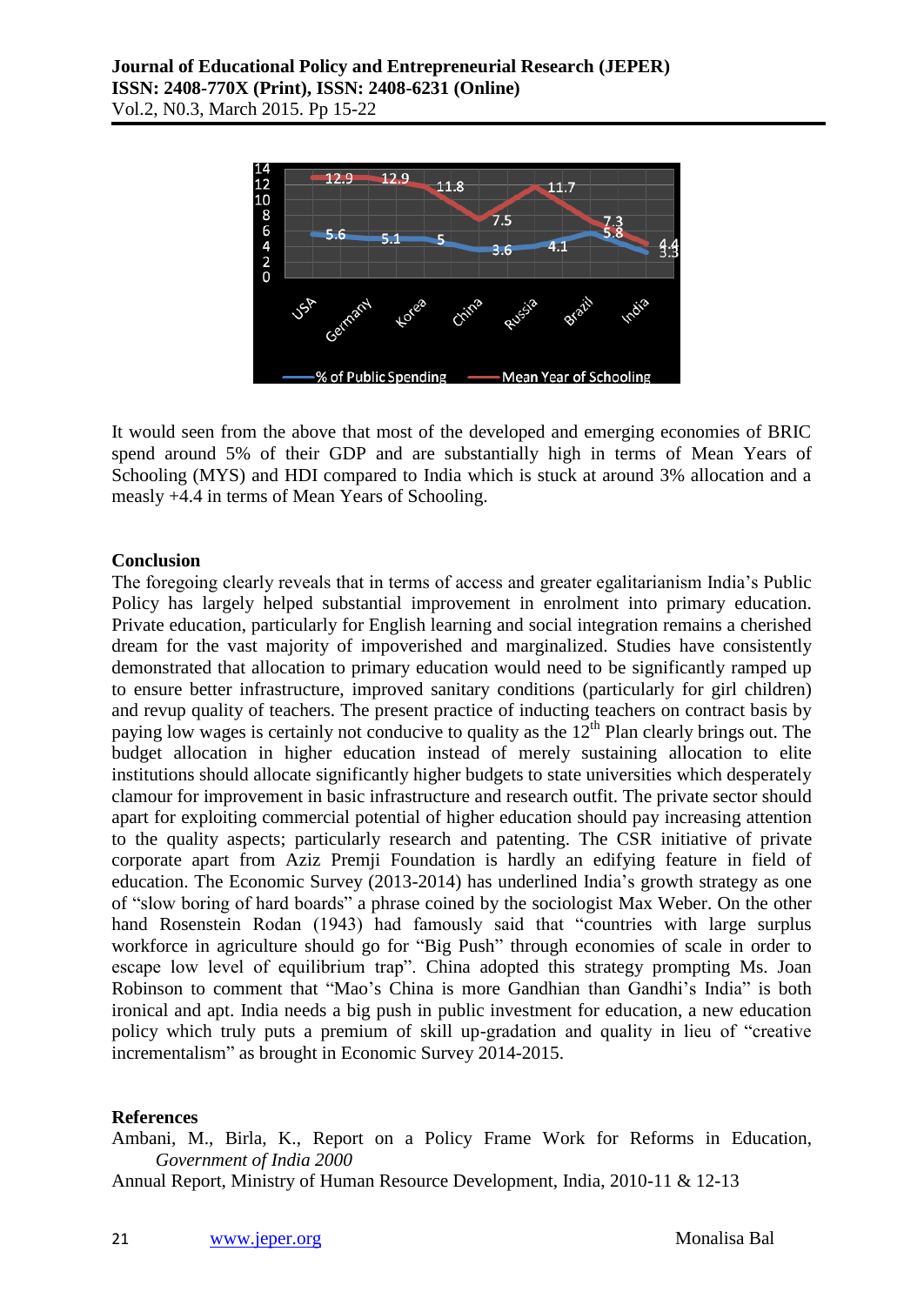

It would seen from the above that most of the developed and emerging economies of BRIC spend around 5% of their GDP and are substantially high in terms of Mean Years of Schooling (MYS) and HDI compared to India which is stuck at around 3% allocation and a measly +4.4 in terms of Mean Years of Schooling.

# **Conclusion**

The foregoing clearly reveals that in terms of access and greater egalitarianism India's Public Policy has largely helped substantial improvement in enrolment into primary education. Private education, particularly for English learning and social integration remains a cherished dream for the vast majority of impoverished and marginalized. Studies have consistently demonstrated that allocation to primary education would need to be significantly ramped up to ensure better infrastructure, improved sanitary conditions (particularly for girl children) and revup quality of teachers. The present practice of inducting teachers on contract basis by paying low wages is certainly not conducive to quality as the  $12<sup>th</sup>$  Plan clearly brings out. The budget allocation in higher education instead of merely sustaining allocation to elite institutions should allocate significantly higher budgets to state universities which desperately clamour for improvement in basic infrastructure and research outfit. The private sector should apart for exploiting commercial potential of higher education should pay increasing attention to the quality aspects; particularly research and patenting. The CSR initiative of private corporate apart from Aziz Premji Foundation is hardly an edifying feature in field of education. The Economic Survey (2013-2014) has underlined India's growth strategy as one of "slow boring of hard boards" a phrase coined by the sociologist Max Weber. On the other hand Rosenstein Rodan (1943) had famously said that "countries with large surplus workforce in agriculture should go for "Big Push" through economies of scale in order to escape low level of equilibrium trap". China adopted this strategy prompting Ms. Joan Robinson to comment that "Mao's China is more Gandhian than Gandhi's India" is both ironical and apt. India needs a big push in public investment for education, a new education policy which truly puts a premium of skill up-gradation and quality in lieu of "creative incrementalism" as brought in Economic Survey 2014-2015.

### **References**

Ambani, M., Birla, K., Report on a Policy Frame Work for Reforms in Education, *Government of India 2000*

Annual Report, Ministry of Human Resource Development, India, 2010-11 & 12-13